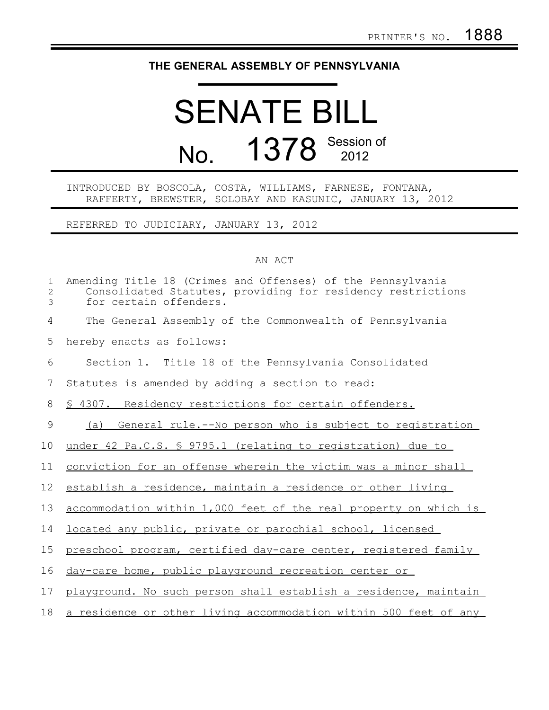## **THE GENERAL ASSEMBLY OF PENNSYLVANIA**

## SENATE BILL No. 1378 Session of

## INTRODUCED BY BOSCOLA, COSTA, WILLIAMS, FARNESE, FONTANA, RAFFERTY, BREWSTER, SOLOBAY AND KASUNIC, JANUARY 13, 2012

REFERRED TO JUDICIARY, JANUARY 13, 2012

## AN ACT

| $\mathbf{1}$<br>2<br>3 | Amending Title 18 (Crimes and Offenses) of the Pennsylvania<br>Consolidated Statutes, providing for residency restrictions<br>for certain offenders. |
|------------------------|------------------------------------------------------------------------------------------------------------------------------------------------------|
| 4                      | The General Assembly of the Commonwealth of Pennsylvania                                                                                             |
| 5                      | hereby enacts as follows:                                                                                                                            |
| 6                      | Section 1. Title 18 of the Pennsylvania Consolidated                                                                                                 |
| 7                      | Statutes is amended by adding a section to read:                                                                                                     |
| 8                      | § 4307. Residency restrictions for certain offenders.                                                                                                |
| 9                      | General rule.--No person who is subject to registration<br>(a)                                                                                       |
| 10                     | under 42 Pa.C.S. § 9795.1 (relating to registration) due to                                                                                          |
| 11                     | conviction for an offense wherein the victim was a minor shall                                                                                       |
| 12                     | establish a residence, maintain a residence or other living                                                                                          |
| 13                     | accommodation within 1,000 feet of the real property on which is                                                                                     |
| 14                     | located any public, private or parochial school, licensed                                                                                            |
| 15                     | preschool program, certified day-care center, registered family                                                                                      |
| 16                     | day-care home, public playground recreation center or                                                                                                |
| 17                     | playground. No such person shall establish a residence, maintain                                                                                     |
| 18                     | a residence or other living accommodation within 500 feet of any                                                                                     |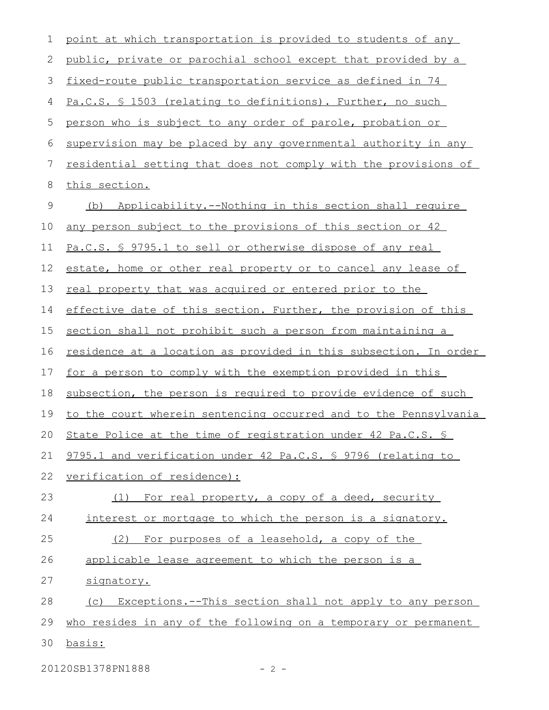| $\mathbf 1$ | point at which transportation is provided to students of any     |
|-------------|------------------------------------------------------------------|
| 2           | public, private or parochial school except that provided by a    |
| 3           | fixed-route public transportation service as defined in 74       |
| 4           | Pa.C.S. § 1503 (relating to definitions). Further, no such       |
| 5           | person who is subject to any order of parole, probation or       |
| 6           | supervision may be placed by any governmental authority in any   |
| 7           | residential setting that does not comply with the provisions of  |
| 8           | this section.                                                    |
| 9           | Applicability.--Nothing in this section shall require<br>(b)     |
| 10          | any person subject to the provisions of this section or 42       |
| 11          | Pa.C.S. § 9795.1 to sell or otherwise dispose of any real        |
| 12          | estate, home or other real property or to cancel any lease of    |
| 13          | real property that was acquired or entered prior to the          |
| 14          | effective date of this section. Further, the provision of this   |
| 15          | section shall not prohibit such a person from maintaining a      |
| 16          | residence at a location as provided in this subsection. In order |
| 17          | for a person to comply with the exemption provided in this       |
| 18          | subsection, the person is required to provide evidence of such   |
| 19          | to the court wherein sentencing occurred and to the Pennsylvania |
| 20          | State Police at the time of registration under 42 Pa.C.S. §      |
| 21          | 9795.1 and verification under 42 Pa.C.S. § 9796 (relating to     |
| 22          | verification of residence):                                      |
| 23          | For real property, a copy of a deed, security<br>(1)             |
| 24          | interest or mortgage to which the person is a signatory.         |
| 25          | (2) For purposes of a leasehold, a copy of the                   |
| 26          | applicable lease agreement to which the person is a              |
| 27          | signatory.                                                       |
| 28          | (c) Exceptions.--This section shall not apply to any person      |
| 29          | who resides in any of the following on a temporary or permanent  |
| 30          | basis:                                                           |

20120SB1378PN1888 - 2 -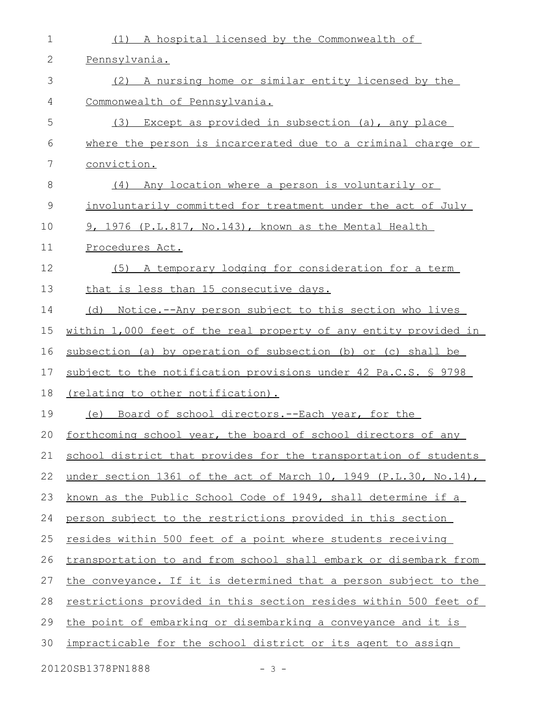| $\mathbf 1$   | A hospital licensed by the Commonwealth of<br>(1)                       |
|---------------|-------------------------------------------------------------------------|
| 2             | Pennsylvania.                                                           |
| 3             | (2) A nursing home or similar entity licensed by the                    |
| 4             | Commonwealth of Pennsylvania.                                           |
| 5             | Except as provided in subsection (a), any place<br>(3)                  |
| 6             | where the person is incarcerated due to a criminal charge or            |
| 7             | conviction.                                                             |
| 8             | Any location where a person is voluntarily or<br>(4)                    |
| $\mathcal{G}$ | involuntarily committed for treatment under the act of July             |
| 10            | 9, 1976 (P.L.817, No.143), known as the Mental Health                   |
| 11            | Procedures Act.                                                         |
| 12            | (5) A temporary lodging for consideration for a term                    |
| 13            | that is less than 15 consecutive days.                                  |
| 14            | (d) Notice.--Any person subject to this section who lives               |
| 15            | within 1,000 feet of the real property of any entity provided in        |
| 16            | subsection (a) by operation of subsection (b) or (c) shall be           |
| 17            | subject to the notification provisions under 42 Pa.C.S. § 9798          |
| 18            | (relating to other notification).                                       |
| 19            | (e) Board of school directors.--Each year, for the                      |
| 20            | forthcoming school year, the board of school directors of any           |
| 21            | school district that provides for the transportation of students        |
| 22            | under section 1361 of the act of March 10, 1949 (P.L.30, No.14),        |
| 23            | known as the Public School Code of 1949, shall determine if a           |
| 24            | person subject to the restrictions provided in this section             |
| 25            | resides within 500 feet of a point where students receiving             |
| 26            | transportation to and from school shall embark or disembark from        |
| 27            | the conveyance. If it is determined that a person subject to the        |
| 28            | <u>restrictions provided in this section resides within 500 feet of</u> |
| 29            | the point of embarking or disembarking a conveyance and it is           |
| 30            | impracticable for the school district or its agent to assign            |
|               |                                                                         |